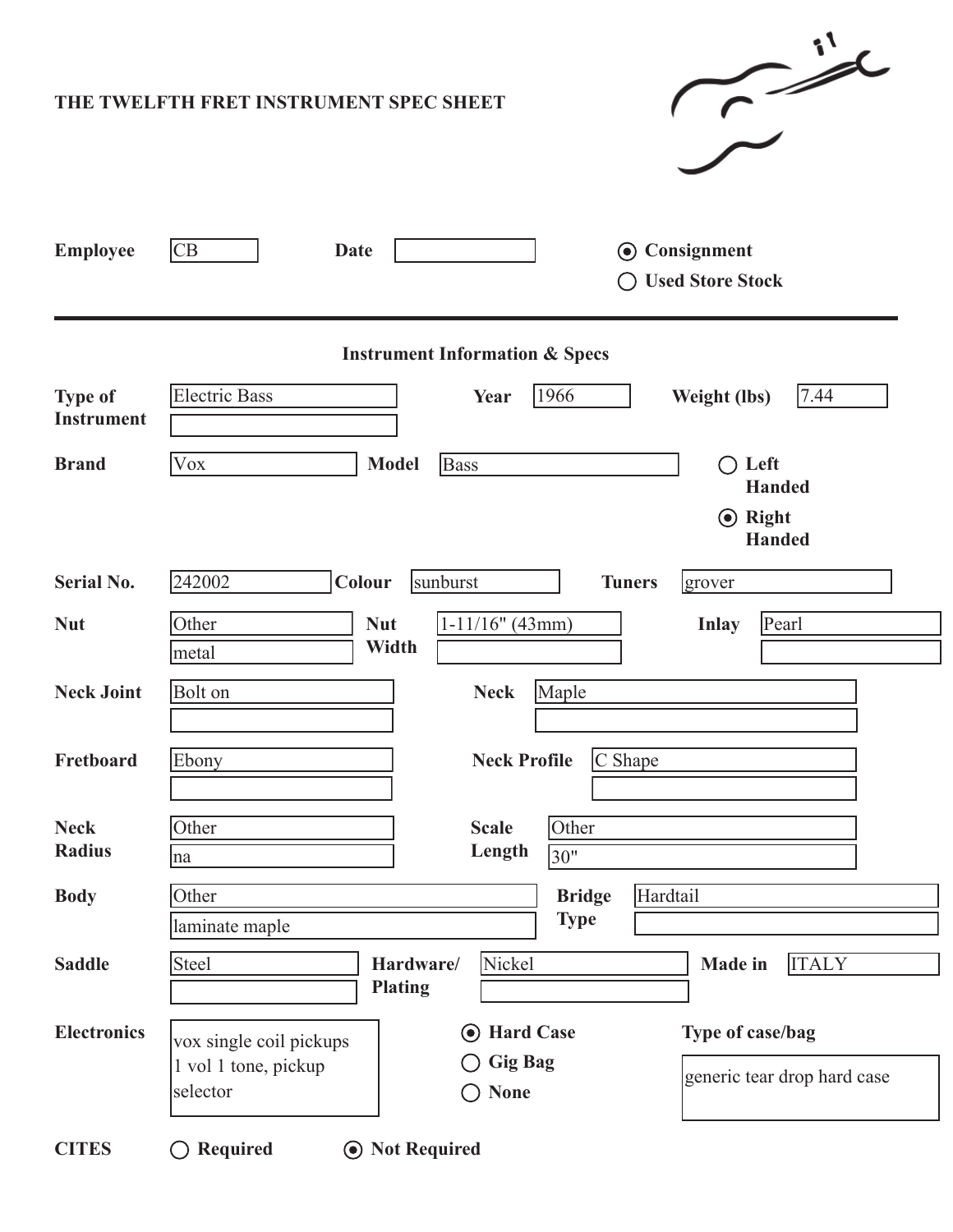|                                           | $\sim$ id<br>THE TWELFTH FRET INSTRUMENT SPEC SHEET                                                                                                                                |  |  |  |  |  |  |  |
|-------------------------------------------|------------------------------------------------------------------------------------------------------------------------------------------------------------------------------------|--|--|--|--|--|--|--|
| <b>Employee</b>                           | CB<br><b>⊙</b> Consignment<br>Date<br><b>Used Store Stock</b>                                                                                                                      |  |  |  |  |  |  |  |
| <b>Instrument Information &amp; Specs</b> |                                                                                                                                                                                    |  |  |  |  |  |  |  |
| <b>Type of</b><br><b>Instrument</b>       | <b>Electric Bass</b><br>1966<br>7.44<br><b>Weight (lbs)</b><br>Year                                                                                                                |  |  |  |  |  |  |  |
| <b>Brand</b>                              | Vox<br><b>Bass</b><br><b>Model</b><br>Left<br>$($ )<br><b>Handed</b><br>$\odot$ Right<br><b>Handed</b>                                                                             |  |  |  |  |  |  |  |
| <b>Serial No.</b>                         | 242002<br>Colour<br>sunburst<br><b>Tuners</b><br>grover                                                                                                                            |  |  |  |  |  |  |  |
| <b>Nut</b>                                | Other<br>$1-11/16"$ (43mm)<br>Pearl<br><b>Nut</b><br><b>Inlay</b><br>Width<br>metal                                                                                                |  |  |  |  |  |  |  |
| <b>Neck Joint</b>                         | <b>Bolt</b> on<br><b>Neck</b><br>Maple                                                                                                                                             |  |  |  |  |  |  |  |
| Fretboard                                 | $\mathcal C$ Shape<br><b>Neck Profile</b><br>Ebony                                                                                                                                 |  |  |  |  |  |  |  |
| <b>Neck</b><br><b>Radius</b>              | Other<br>Other<br><b>Scale</b><br>Length<br>30"<br>na                                                                                                                              |  |  |  |  |  |  |  |
| <b>Body</b>                               | Hardtail<br><b>Bridge</b><br>Other<br><b>Type</b><br>laminate maple                                                                                                                |  |  |  |  |  |  |  |
| <b>Saddle</b>                             | Nickel<br><b>Steel</b><br><b>ITALY</b><br>Hardware/<br><b>Made</b> in<br><b>Plating</b>                                                                                            |  |  |  |  |  |  |  |
| <b>Electronics</b>                        | Type of case/bag<br><b>Hard Case</b><br>$(\bullet)$<br>vox single coil pickups<br><b>Gig Bag</b><br>1 vol 1 tone, pickup<br>generic tear drop hard case<br>selector<br><b>None</b> |  |  |  |  |  |  |  |
| <b>CITES</b>                              | $\bigcirc$ Required<br><b>⊙</b> Not Required                                                                                                                                       |  |  |  |  |  |  |  |